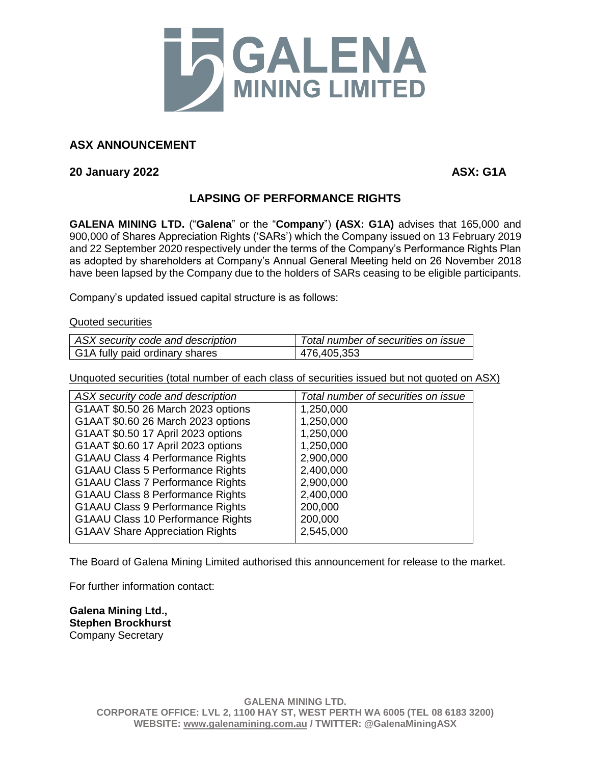

## **ASX ANNOUNCEMENT**

**20 January 2022 ASX: G1A**

## **LAPSING OF PERFORMANCE RIGHTS**

**GALENA MINING LTD.** ("**Galena**" or the "**Company**") **(ASX: G1A)** advises that 165,000 and 900,000 of Shares Appreciation Rights ('SARs') which the Company issued on 13 February 2019 and 22 September 2020 respectively under the terms of the Company's Performance Rights Plan as adopted by shareholders at Company's Annual General Meeting held on 26 November 2018 have been lapsed by the Company due to the holders of SARs ceasing to be eligible participants.

Company's updated issued capital structure is as follows:

Quoted securities

| ASX security code and description | Total number of securities on issue |
|-----------------------------------|-------------------------------------|
| G1A fully paid ordinary shares    | 476,405,353                         |

Unquoted securities (total number of each class of securities issued but not quoted on ASX)

| ASX security code and description        | Total number of securities on issue |
|------------------------------------------|-------------------------------------|
| G1AAT \$0.50 26 March 2023 options       | 1,250,000                           |
| G1AAT \$0.60 26 March 2023 options       | 1,250,000                           |
| G1AAT \$0.50 17 April 2023 options       | 1,250,000                           |
| G1AAT \$0.60 17 April 2023 options       | 1,250,000                           |
| <b>G1AAU Class 4 Performance Rights</b>  | 2,900,000                           |
| <b>G1AAU Class 5 Performance Rights</b>  | 2,400,000                           |
| <b>G1AAU Class 7 Performance Rights</b>  | 2,900,000                           |
| <b>G1AAU Class 8 Performance Rights</b>  | 2,400,000                           |
| <b>G1AAU Class 9 Performance Rights</b>  | 200,000                             |
| <b>G1AAU Class 10 Performance Rights</b> | 200,000                             |
| <b>G1AAV Share Appreciation Rights</b>   | 2,545,000                           |
|                                          |                                     |

The Board of Galena Mining Limited authorised this announcement for release to the market.

For further information contact:

**Galena Mining Ltd., Stephen Brockhurst** Company Secretary